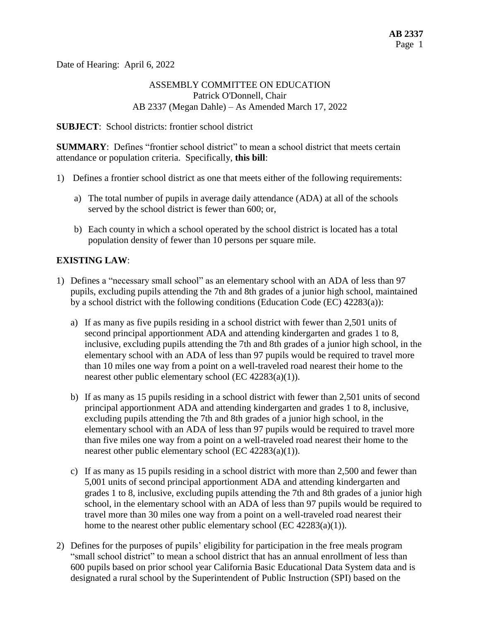Date of Hearing: April 6, 2022

## ASSEMBLY COMMITTEE ON EDUCATION Patrick O'Donnell, Chair AB 2337 (Megan Dahle) – As Amended March 17, 2022

#### **SUBJECT**: School districts: frontier school district

**SUMMARY:** Defines "frontier school district" to mean a school district that meets certain attendance or population criteria. Specifically, **this bill**:

- 1) Defines a frontier school district as one that meets either of the following requirements:
	- a) The total number of pupils in average daily attendance (ADA) at all of the schools served by the school district is fewer than 600; or,
	- b) Each county in which a school operated by the school district is located has a total population density of fewer than 10 persons per square mile.

### **EXISTING LAW**:

- 1) Defines a "necessary small school" as an elementary school with an ADA of less than 97 pupils, excluding pupils attending the 7th and 8th grades of a junior high school, maintained by a school district with the following conditions (Education Code (EC) 42283(a)):
	- a) If as many as five pupils residing in a school district with fewer than 2,501 units of second principal apportionment ADA and attending kindergarten and grades 1 to 8, inclusive, excluding pupils attending the 7th and 8th grades of a junior high school, in the elementary school with an ADA of less than 97 pupils would be required to travel more than 10 miles one way from a point on a well-traveled road nearest their home to the nearest other public elementary school (EC  $42283(a)(1)$ ).
	- b) If as many as 15 pupils residing in a school district with fewer than 2,501 units of second principal apportionment ADA and attending kindergarten and grades 1 to 8, inclusive, excluding pupils attending the 7th and 8th grades of a junior high school, in the elementary school with an ADA of less than 97 pupils would be required to travel more than five miles one way from a point on a well-traveled road nearest their home to the nearest other public elementary school (EC  $42283(a)(1)$ ).
	- c) If as many as 15 pupils residing in a school district with more than 2,500 and fewer than 5,001 units of second principal apportionment ADA and attending kindergarten and grades 1 to 8, inclusive, excluding pupils attending the 7th and 8th grades of a junior high school, in the elementary school with an ADA of less than 97 pupils would be required to travel more than 30 miles one way from a point on a well-traveled road nearest their home to the nearest other public elementary school (EC 42283(a)(1)).
- 2) Defines for the purposes of pupils' eligibility for participation in the free meals program "small school district" to mean a school district that has an annual enrollment of less than 600 pupils based on prior school year California Basic Educational Data System data and is designated a rural school by the Superintendent of Public Instruction (SPI) based on the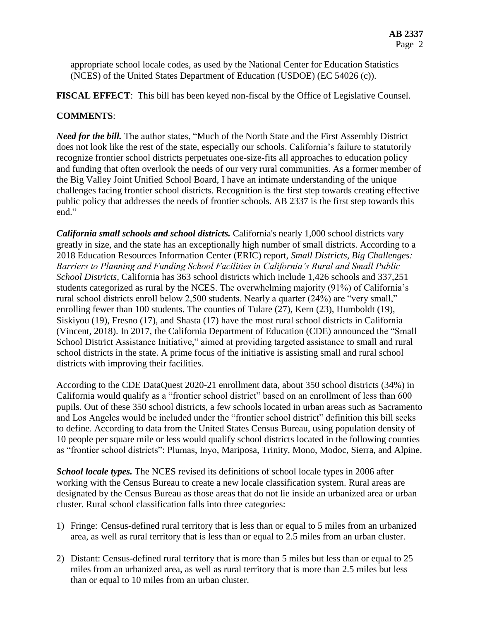appropriate school locale codes, as used by the National Center for Education Statistics (NCES) of the United States Department of Education (USDOE) (EC 54026 (c)).

**FISCAL EFFECT**: This bill has been keyed non-fiscal by the Office of Legislative Counsel.

## **COMMENTS**:

*Need for the bill.* The author states, "Much of the North State and the First Assembly District does not look like the rest of the state, especially our schools. California's failure to statutorily recognize frontier school districts perpetuates one-size-fits all approaches to education policy and funding that often overlook the needs of our very rural communities. As a former member of the Big Valley Joint Unified School Board, I have an intimate understanding of the unique challenges facing frontier school districts. Recognition is the first step towards creating effective public policy that addresses the needs of frontier schools. AB 2337 is the first step towards this end."

*California small schools and school districts.* California's nearly 1,000 school districts vary greatly in size, and the state has an exceptionally high number of small districts. According to a 2018 Education Resources Information Center (ERIC) report, *Small Districts, Big Challenges: Barriers to Planning and Funding School Facilities in California's Rural and Small Public School Districts,* California has 363 school districts which include 1,426 schools and 337,251 students categorized as rural by the NCES. The overwhelming majority (91%) of California's rural school districts enroll below 2,500 students. Nearly a quarter (24%) are "very small," enrolling fewer than 100 students. The counties of Tulare (27), Kern (23), Humboldt (19), Siskiyou (19), Fresno (17), and Shasta (17) have the most rural school districts in California (Vincent, 2018). In 2017, the California Department of Education (CDE) announced the "Small School District Assistance Initiative," aimed at providing targeted assistance to small and rural school districts in the state. A prime focus of the initiative is assisting small and rural school districts with improving their facilities.

According to the CDE DataQuest 2020-21 enrollment data, about 350 school districts (34%) in California would qualify as a "frontier school district" based on an enrollment of less than 600 pupils. Out of these 350 school districts, a few schools located in urban areas such as Sacramento and Los Angeles would be included under the "frontier school district" definition this bill seeks to define. According to data from the United States Census Bureau, using population density of 10 people per square mile or less would qualify school districts located in the following counties as "frontier school districts": Plumas, Inyo, Mariposa, Trinity, Mono, Modoc, Sierra, and Alpine.

*School locale types.* The NCES revised its definitions of school locale types in 2006 after working with the Census Bureau to create a new locale classification system. Rural areas are designated by the Census Bureau as those areas that do not lie inside an urbanized area or urban cluster. Rural school classification falls into three categories:

- 1) Fringe: Census-defined rural territory that is less than or equal to 5 miles from an urbanized area, as well as rural territory that is less than or equal to 2.5 miles from an urban cluster.
- 2) Distant: Census-defined rural territory that is more than 5 miles but less than or equal to 25 miles from an urbanized area, as well as rural territory that is more than 2.5 miles but less than or equal to 10 miles from an urban cluster.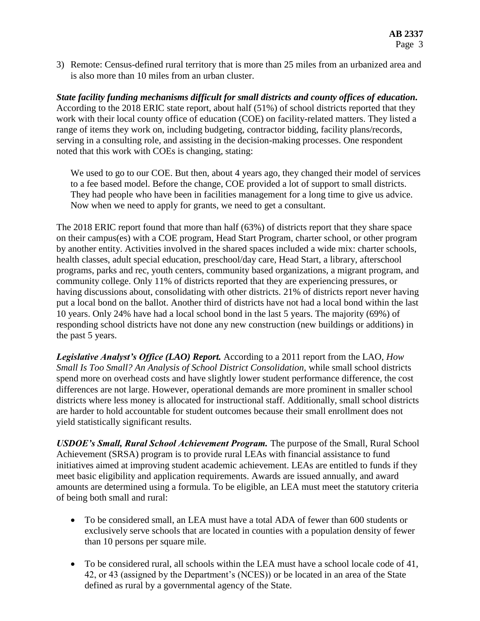3) Remote: Census-defined rural territory that is more than 25 miles from an urbanized area and is also more than 10 miles from an urban cluster.

*State facility funding mechanisms difficult for small districts and county offices of education.*  According to the 2018 ERIC state report, about half (51%) of school districts reported that they work with their local county office of education (COE) on facility-related matters. They listed a range of items they work on, including budgeting, contractor bidding, facility plans/records, serving in a consulting role, and assisting in the decision-making processes. One respondent noted that this work with COEs is changing, stating:

We used to go to our COE. But then, about 4 years ago, they changed their model of services to a fee based model. Before the change, COE provided a lot of support to small districts. They had people who have been in facilities management for a long time to give us advice. Now when we need to apply for grants, we need to get a consultant.

The 2018 ERIC report found that more than half (63%) of districts report that they share space on their campus(es) with a COE program, Head Start Program, charter school, or other program by another entity. Activities involved in the shared spaces included a wide mix: charter schools, health classes, adult special education, preschool/day care, Head Start, a library, afterschool programs, parks and rec, youth centers, community based organizations, a migrant program, and community college. Only 11% of districts reported that they are experiencing pressures, or having discussions about, consolidating with other districts. 21% of districts report never having put a local bond on the ballot. Another third of districts have not had a local bond within the last 10 years. Only 24% have had a local school bond in the last 5 years. The majority (69%) of responding school districts have not done any new construction (new buildings or additions) in the past 5 years.

*Legislative Analyst's Office (LAO) Report.* According to a 2011 report from the LAO, *How Small Is Too Small? An Analysis of School District Consolidation,* while small school districts spend more on overhead costs and have slightly lower student performance difference, the cost differences are not large. However, operational demands are more prominent in smaller school districts where less money is allocated for instructional staff. Additionally, small school districts are harder to hold accountable for student outcomes because their small enrollment does not yield statistically significant results.

*USDOE's Small, Rural School Achievement Program.* The purpose of the Small, Rural School Achievement (SRSA) program is to provide rural LEAs with financial assistance to fund initiatives aimed at improving student academic achievement. LEAs are entitled to funds if they meet basic eligibility and application requirements. Awards are issued annually, and award amounts are determined using a formula. To be eligible, an LEA must meet the statutory criteria of being both small and rural:

- To be considered small, an LEA must have a total ADA of fewer than 600 students or exclusively serve schools that are located in counties with a population density of fewer than 10 persons per square mile.
- To be considered rural, all schools within the LEA must have a school locale code of 41, 42, or 43 (assigned by the Department's (NCES)) or be located in an area of the State defined as rural by a governmental agency of the State.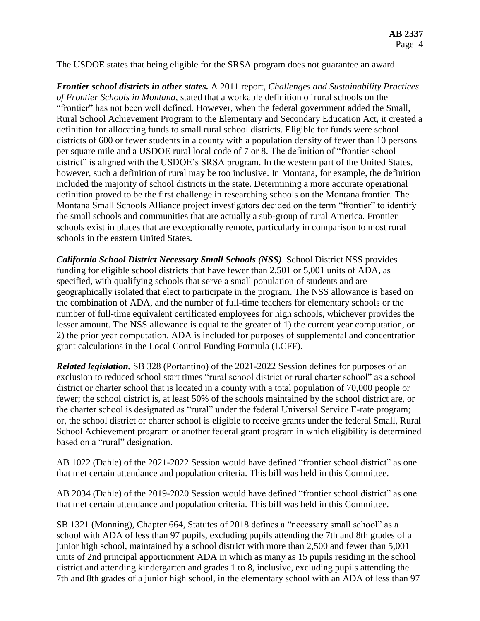The USDOE states that being eligible for the SRSA program does not guarantee an award.

*Frontier school districts in other states.* A 2011 report, *Challenges and Sustainability Practices of Frontier Schools in Montana*, stated that a workable definition of rural schools on the "frontier" has not been well defined. However, when the federal government added the Small, Rural School Achievement Program to the Elementary and Secondary Education Act, it created a definition for allocating funds to small rural school districts. Eligible for funds were school districts of 600 or fewer students in a county with a population density of fewer than 10 persons per square mile and a USDOE rural local code of 7 or 8. The definition of "frontier school district" is aligned with the USDOE's SRSA program. In the western part of the United States, however, such a definition of rural may be too inclusive. In Montana, for example, the definition included the majority of school districts in the state. Determining a more accurate operational definition proved to be the first challenge in researching schools on the Montana frontier. The Montana Small Schools Alliance project investigators decided on the term "frontier" to identify the small schools and communities that are actually a sub-group of rural America. Frontier schools exist in places that are exceptionally remote, particularly in comparison to most rural schools in the eastern United States.

*California School District Necessary Small Schools (NSS)*. School District NSS provides funding for eligible school districts that have fewer than 2,501 or 5,001 units of ADA, as specified, with qualifying schools that serve a small population of students and are geographically isolated that elect to participate in the program. The NSS allowance is based on the combination of ADA, and the number of full-time teachers for elementary schools or the number of full-time equivalent certificated employees for high schools, whichever provides the lesser amount. The NSS allowance is equal to the greater of 1) the current year computation, or 2) the prior year computation. ADA is included for purposes of supplemental and concentration grant calculations in the Local Control Funding Formula (LCFF).

*Related legislation.* SB 328 (Portantino) of the 2021-2022 Session defines for purposes of an exclusion to reduced school start times "rural school district or rural charter school" as a school district or charter school that is located in a county with a total population of 70,000 people or fewer; the school district is, at least 50% of the schools maintained by the school district are, or the charter school is designated as "rural" under the federal Universal Service E-rate program; or, the school district or charter school is eligible to receive grants under the federal Small, Rural School Achievement program or another federal grant program in which eligibility is determined based on a "rural" designation.

AB 1022 (Dahle) of the 2021-2022 Session would have defined "frontier school district" as one that met certain attendance and population criteria. This bill was held in this Committee.

AB 2034 (Dahle) of the 2019-2020 Session would have defined "frontier school district" as one that met certain attendance and population criteria. This bill was held in this Committee.

SB 1321 (Monning), Chapter 664, Statutes of 2018 defines a "necessary small school" as a school with ADA of less than 97 pupils, excluding pupils attending the 7th and 8th grades of a junior high school, maintained by a school district with more than 2,500 and fewer than 5,001 units of 2nd principal apportionment ADA in which as many as 15 pupils residing in the school district and attending kindergarten and grades 1 to 8, inclusive, excluding pupils attending the 7th and 8th grades of a junior high school, in the elementary school with an ADA of less than 97